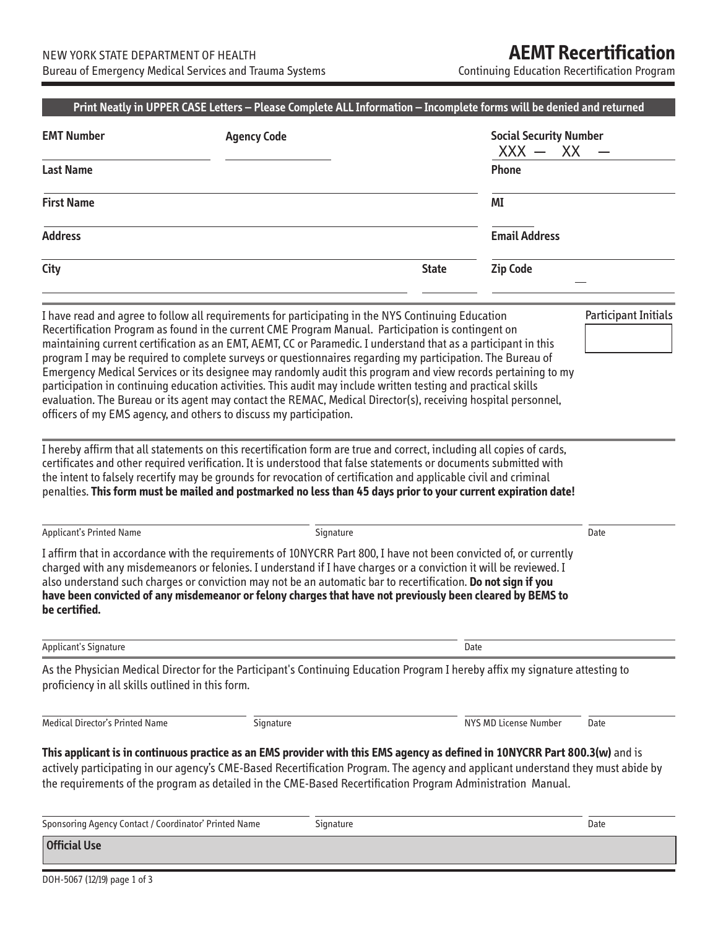Continuing Education Recertification Program

| <b>EMT Number</b>                                     | <b>Agency Code</b>                                                                                                                                                                                                                                                                                                                                                                                                                                                                                                                                                                                                                                                                                                                                                                                                                                                                                                                                                                                                                                                                                                                                                                                                               |              | <b>Social Security Number</b><br>XX<br>$XXX -$ |                             |  |
|-------------------------------------------------------|----------------------------------------------------------------------------------------------------------------------------------------------------------------------------------------------------------------------------------------------------------------------------------------------------------------------------------------------------------------------------------------------------------------------------------------------------------------------------------------------------------------------------------------------------------------------------------------------------------------------------------------------------------------------------------------------------------------------------------------------------------------------------------------------------------------------------------------------------------------------------------------------------------------------------------------------------------------------------------------------------------------------------------------------------------------------------------------------------------------------------------------------------------------------------------------------------------------------------------|--------------|------------------------------------------------|-----------------------------|--|
| <b>Last Name</b>                                      |                                                                                                                                                                                                                                                                                                                                                                                                                                                                                                                                                                                                                                                                                                                                                                                                                                                                                                                                                                                                                                                                                                                                                                                                                                  |              | Phone                                          |                             |  |
| <b>First Name</b>                                     |                                                                                                                                                                                                                                                                                                                                                                                                                                                                                                                                                                                                                                                                                                                                                                                                                                                                                                                                                                                                                                                                                                                                                                                                                                  |              | ΜI                                             |                             |  |
| <b>Address</b>                                        |                                                                                                                                                                                                                                                                                                                                                                                                                                                                                                                                                                                                                                                                                                                                                                                                                                                                                                                                                                                                                                                                                                                                                                                                                                  |              | <b>Email Address</b>                           |                             |  |
| City                                                  |                                                                                                                                                                                                                                                                                                                                                                                                                                                                                                                                                                                                                                                                                                                                                                                                                                                                                                                                                                                                                                                                                                                                                                                                                                  | <b>State</b> | <b>Zip Code</b>                                |                             |  |
|                                                       | I have read and agree to follow all requirements for participating in the NYS Continuing Education<br>Recertification Program as found in the current CME Program Manual. Participation is contingent on<br>maintaining current certification as an EMT, AEMT, CC or Paramedic. I understand that as a participant in this<br>program I may be required to complete surveys or questionnaires regarding my participation. The Bureau of<br>Emergency Medical Services or its designee may randomly audit this program and view records pertaining to my<br>participation in continuing education activities. This audit may include written testing and practical skills<br>evaluation. The Bureau or its agent may contact the REMAC, Medical Director(s), receiving hospital personnel,<br>officers of my EMS agency, and others to discuss my participation.<br>I hereby affirm that all statements on this recertification form are true and correct, including all copies of cards,<br>certificates and other required verification. It is understood that false statements or documents submitted with<br>the intent to falsely recertify may be grounds for revocation of certification and applicable civil and criminal |              |                                                | <b>Participant Initials</b> |  |
| <b>Applicant's Printed Name</b>                       | penalties. This form must be mailed and postmarked no less than 45 days prior to your current expiration date!<br>Signature                                                                                                                                                                                                                                                                                                                                                                                                                                                                                                                                                                                                                                                                                                                                                                                                                                                                                                                                                                                                                                                                                                      |              |                                                | Date                        |  |
| be certified.                                         | I affirm that in accordance with the requirements of 10NYCRR Part 800, I have not been convicted of, or currently<br>charged with any misdemeanors or felonies. I understand if I have charges or a conviction it will be reviewed. I<br>also understand such charges or conviction may not be an automatic bar to recertification. Do not sign if you<br>have been convicted of any misdemeanor or felony charges that have not previously been cleared by BEMS to                                                                                                                                                                                                                                                                                                                                                                                                                                                                                                                                                                                                                                                                                                                                                              |              |                                                |                             |  |
| <b>Applicant's Signature</b>                          |                                                                                                                                                                                                                                                                                                                                                                                                                                                                                                                                                                                                                                                                                                                                                                                                                                                                                                                                                                                                                                                                                                                                                                                                                                  | Date         |                                                |                             |  |
| proficiency in all skills outlined in this form.      | As the Physician Medical Director for the Participant's Continuing Education Program I hereby affix my signature attesting to                                                                                                                                                                                                                                                                                                                                                                                                                                                                                                                                                                                                                                                                                                                                                                                                                                                                                                                                                                                                                                                                                                    |              |                                                |                             |  |
| Medical Director's Printed Name                       | Signature                                                                                                                                                                                                                                                                                                                                                                                                                                                                                                                                                                                                                                                                                                                                                                                                                                                                                                                                                                                                                                                                                                                                                                                                                        |              | NYS MD License Number                          | Date                        |  |
|                                                       | This applicant is in continuous practice as an EMS provider with this EMS agency as defined in 10NYCRR Part 800.3(w) and is<br>actively participating in our agency's CME-Based Recertification Program. The agency and applicant understand they must abide by<br>the requirements of the program as detailed in the CME-Based Recertification Program Administration Manual.                                                                                                                                                                                                                                                                                                                                                                                                                                                                                                                                                                                                                                                                                                                                                                                                                                                   |              |                                                |                             |  |
| Sponsoring Agency Contact / Coordinator' Printed Name | Signature                                                                                                                                                                                                                                                                                                                                                                                                                                                                                                                                                                                                                                                                                                                                                                                                                                                                                                                                                                                                                                                                                                                                                                                                                        |              |                                                | Date                        |  |
| <b>Official Use</b>                                   |                                                                                                                                                                                                                                                                                                                                                                                                                                                                                                                                                                                                                                                                                                                                                                                                                                                                                                                                                                                                                                                                                                                                                                                                                                  |              |                                                |                             |  |

DOH-5067 (12/19) page 1 of 3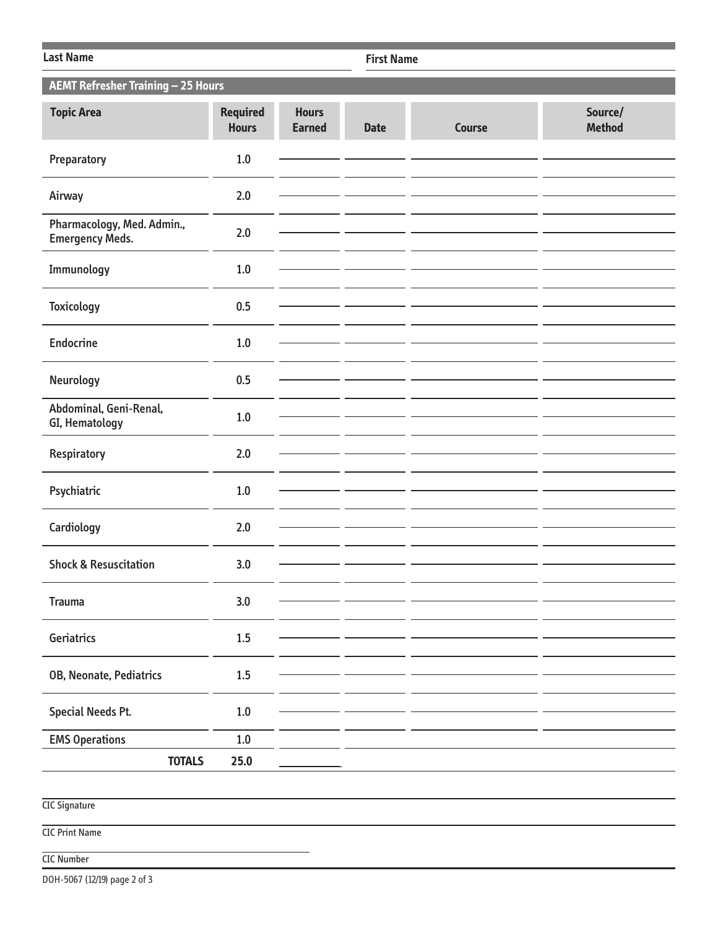| <b>Last Name</b>                                     |                                 |                               |             | <b>First Name</b> |                          |  |  |  |
|------------------------------------------------------|---------------------------------|-------------------------------|-------------|-------------------|--------------------------|--|--|--|
| <b>AEMT Refresher Training - 25 Hours</b>            |                                 |                               |             |                   |                          |  |  |  |
| <b>Topic Area</b>                                    | <b>Required</b><br><b>Hours</b> | <b>Hours</b><br><b>Earned</b> | <b>Date</b> | <b>Course</b>     | Source/<br><b>Method</b> |  |  |  |
| Preparatory                                          | $1.0$                           |                               |             |                   |                          |  |  |  |
| Airway                                               | 2.0                             |                               |             |                   |                          |  |  |  |
| Pharmacology, Med. Admin.,<br><b>Emergency Meds.</b> | 2.0                             |                               |             |                   |                          |  |  |  |
| Immunology                                           | 1.0                             |                               |             |                   |                          |  |  |  |
| <b>Toxicology</b>                                    | 0.5                             |                               |             |                   |                          |  |  |  |
| <b>Endocrine</b>                                     | $1.0$                           |                               |             |                   |                          |  |  |  |
| Neurology                                            | 0.5                             |                               |             |                   |                          |  |  |  |
| Abdominal, Geni-Renal,<br>GI, Hematology             | 1.0                             |                               |             |                   |                          |  |  |  |
| Respiratory                                          | 2.0                             |                               |             |                   |                          |  |  |  |
| Psychiatric                                          | 1.0                             |                               |             |                   |                          |  |  |  |
| Cardiology                                           | 2.0                             |                               |             |                   |                          |  |  |  |
| <b>Shock &amp; Resuscitation</b>                     | 3.0                             |                               |             |                   |                          |  |  |  |
| <b>Trauma</b>                                        | 3.0                             |                               |             |                   |                          |  |  |  |
| Geriatrics                                           | 1.5                             |                               |             |                   |                          |  |  |  |
|                                                      |                                 |                               |             |                   |                          |  |  |  |
| OB, Neonate, Pediatrics                              | $1.5\,$                         |                               |             |                   |                          |  |  |  |
|                                                      |                                 |                               |             |                   |                          |  |  |  |
| <b>Special Needs Pt.</b>                             | $1.0\,$                         |                               |             |                   |                          |  |  |  |
| <b>EMS Operations</b>                                | $1.0\,$                         |                               |             |                   |                          |  |  |  |
| <b>TOTALS</b>                                        | 25.0                            |                               |             |                   |                          |  |  |  |
|                                                      |                                 |                               |             |                   |                          |  |  |  |
| <b>CIC Signature</b>                                 |                                 |                               |             |                   |                          |  |  |  |

CIC Print Name

## CIC Number

DOH-5067 (12/19) page 2 of 3